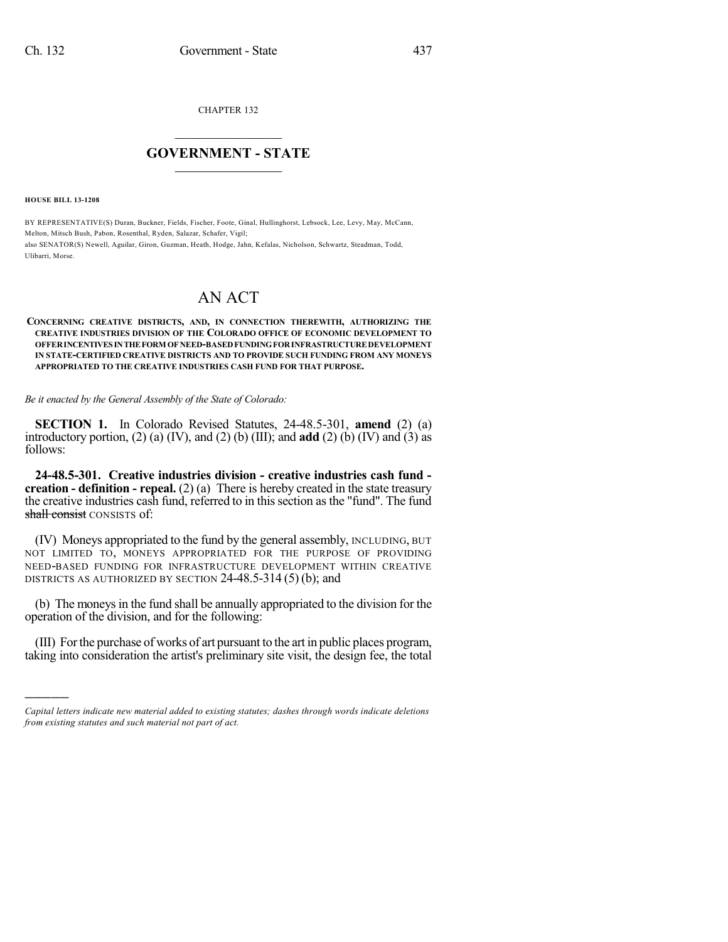CHAPTER 132

## $\overline{\phantom{a}}$  . The set of the set of the set of the set of the set of the set of the set of the set of the set of the set of the set of the set of the set of the set of the set of the set of the set of the set of the set o **GOVERNMENT - STATE**  $\_$

**HOUSE BILL 13-1208**

)))))

BY REPRESENTATIVE(S) Duran, Buckner, Fields, Fischer, Foote, Ginal, Hullinghorst, Lebsock, Lee, Levy, May, McCann, Melton, Mitsch Bush, Pabon, Rosenthal, Ryden, Salazar, Schafer, Vigil; also SENATOR(S) Newell, Aguilar, Giron, Guzman, Heath, Hodge, Jahn, Kefalas, Nicholson, Schwartz, Steadman, Todd, Ulibarri, Morse.

## AN ACT

## **CONCERNING CREATIVE DISTRICTS, AND, IN CONNECTION THEREWITH, AUTHORIZING THE CREATIVE INDUSTRIES DIVISION OF THE COLORADO OFFICE OF ECONOMIC DEVELOPMENT TO OFFERINCENTIVESINTHEFORM OF NEED-BASEDFUNDINGFORINFRASTRUCTURE DEVELOPMENT IN STATE-CERTIFIED CREATIVE DISTRICTS AND TO PROVIDE SUCH FUNDING FROM ANY MONEYS APPROPRIATED TO THE CREATIVE INDUSTRIES CASH FUND FOR THAT PURPOSE.**

*Be it enacted by the General Assembly of the State of Colorado:*

**SECTION 1.** In Colorado Revised Statutes, 24-48.5-301, **amend** (2) (a) introductory portion,  $(2)$  (a)  $(IV)$ , and  $(2)$  (b)  $(III)$ ; and **add**  $(2)$  (b)  $(IV)$  and  $(3)$  as follows:

**24-48.5-301. Creative industries division - creative industries cash fund creation - definition - repeal.** (2) (a) There is hereby created in the state treasury the creative industries cash fund, referred to in thissection as the "fund". The fund shall consist CONSISTS of:

(IV) Moneys appropriated to the fund by the general assembly, INCLUDING, BUT NOT LIMITED TO, MONEYS APPROPRIATED FOR THE PURPOSE OF PROVIDING NEED-BASED FUNDING FOR INFRASTRUCTURE DEVELOPMENT WITHIN CREATIVE DISTRICTS AS AUTHORIZED BY SECTION 24-48.5-314 (5) (b); and

(b) The moneys in the fund shall be annually appropriated to the division for the operation of the division, and for the following:

(III) Forthe purchase of works of art pursuant to the art in public places program, taking into consideration the artist's preliminary site visit, the design fee, the total

*Capital letters indicate new material added to existing statutes; dashes through words indicate deletions from existing statutes and such material not part of act.*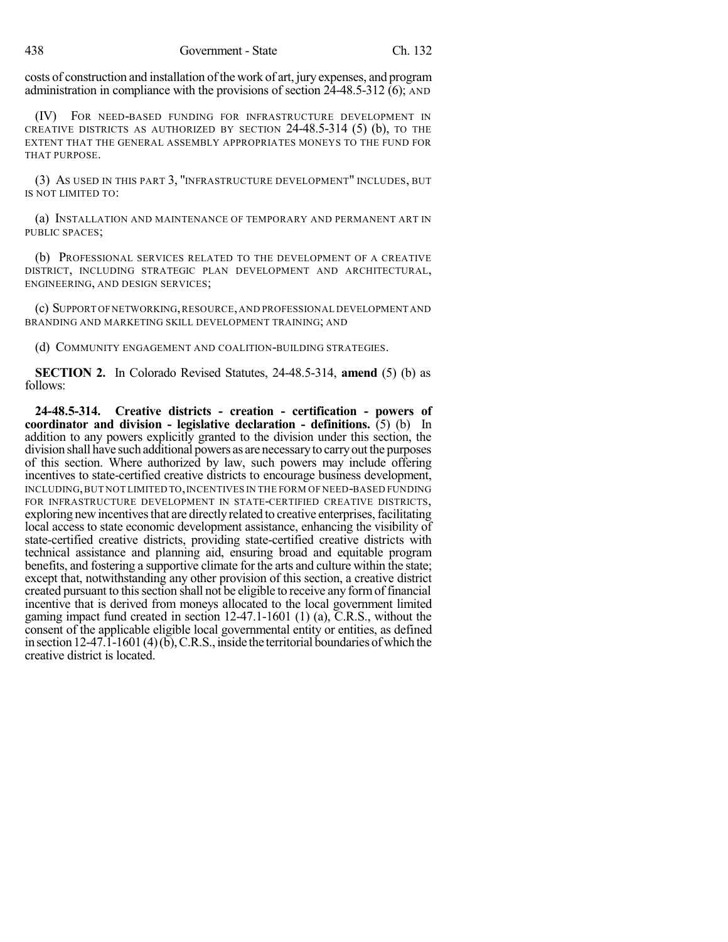costs of construction and installation of the work of art, jury expenses, and program administration in compliance with the provisions of section  $2\overline{4}$ -48.5-312 (6); AND

(IV) FOR NEED-BASED FUNDING FOR INFRASTRUCTURE DEVELOPMENT IN CREATIVE DISTRICTS AS AUTHORIZED BY SECTION 24-48.5-314 (5) (b), TO THE EXTENT THAT THE GENERAL ASSEMBLY APPROPRIATES MONEYS TO THE FUND FOR THAT PURPOSE.

(3) AS USED IN THIS PART 3, "INFRASTRUCTURE DEVELOPMENT" INCLUDES, BUT IS NOT LIMITED TO:

(a) INSTALLATION AND MAINTENANCE OF TEMPORARY AND PERMANENT ART IN PUBLIC SPACES;

(b) PROFESSIONAL SERVICES RELATED TO THE DEVELOPMENT OF A CREATIVE DISTRICT, INCLUDING STRATEGIC PLAN DEVELOPMENT AND ARCHITECTURAL, ENGINEERING, AND DESIGN SERVICES;

(c) SUPPORT OFNETWORKING,RESOURCE,AND PROFESSIONAL DEVELOPMENT AND BRANDING AND MARKETING SKILL DEVELOPMENT TRAINING; AND

(d) COMMUNITY ENGAGEMENT AND COALITION-BUILDING STRATEGIES.

**SECTION 2.** In Colorado Revised Statutes, 24-48.5-314, **amend** (5) (b) as follows:

**24-48.5-314. Creative districts - creation - certification - powers of coordinator and division - legislative declaration - definitions.** (5) (b) In addition to any powers explicitly granted to the division under this section, the division shall have such additional powers as are necessaryto carryout the purposes of this section. Where authorized by law, such powers may include offering incentives to state-certified creative districts to encourage business development, INCLUDING,BUT NOT LIMITED TO,INCENTIVES IN THE FORM OF NEED-BASED FUNDING FOR INFRASTRUCTURE DEVELOPMENT IN STATE-CERTIFIED CREATIVE DISTRICTS, exploring new incentives that are directly related to creative enterprises, facilitating local access to state economic development assistance, enhancing the visibility of state-certified creative districts, providing state-certified creative districts with technical assistance and planning aid, ensuring broad and equitable program benefits, and fostering a supportive climate for the arts and culture within the state; except that, notwithstanding any other provision of this section, a creative district created pursuant to this section shall not be eligible to receive any form of financial incentive that is derived from moneys allocated to the local government limited gaming impact fund created in section 12-47.1-1601 (1) (a), C.R.S., without the consent of the applicable eligible local governmental entity or entities, as defined in section  $12-47.1-1601(4)(b)$ , C.R.S., inside the territorial boundaries of which the creative district is located.